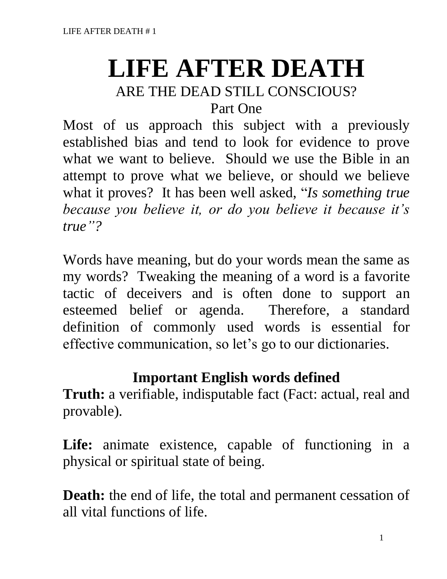# **LIFE AFTER DEATH**

# ARE THE DEAD STILL CONSCIOUS?

Part One

Most of us approach this subject with a previously established bias and tend to look for evidence to prove what we want to believe. Should we use the Bible in an attempt to prove what we believe, or should we believe what it proves? It has been well asked, "*Is something true because you believe it, or do you believe it because it's true"?*

Words have meaning, but do your words mean the same as my words? Tweaking the meaning of a word is a favorite tactic of deceivers and is often done to support an esteemed belief or agenda. Therefore, a standard definition of commonly used words is essential for effective communication, so let's go to our dictionaries.

# **Important English words defined**

**Truth:** a verifiable, indisputable fact (Fact: actual, real and provable).

Life: animate existence, capable of functioning in a physical or spiritual state of being.

**Death:** the end of life, the total and permanent cessation of all vital functions of life.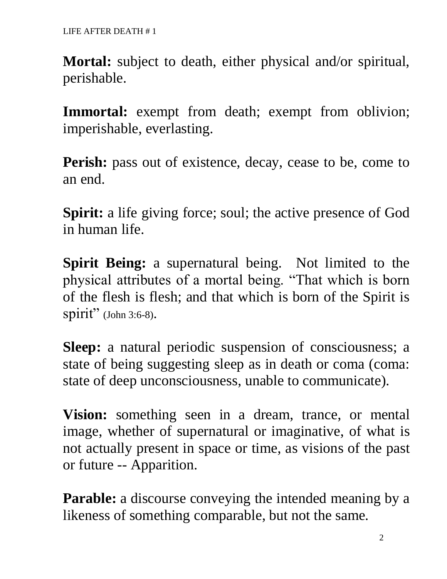**Mortal:** subject to death, either physical and/or spiritual, perishable.

**Immortal:** exempt from death; exempt from oblivion; imperishable, everlasting.

Perish: pass out of existence, decay, cease to be, come to an end.

**Spirit:** a life giving force; soul; the active presence of God in human life.

**Spirit Being:** a supernatural being. Not limited to the physical attributes of a mortal being. "That which is born of the flesh is flesh; and that which is born of the Spirit is spirit" (John 3:6-8).

**Sleep:** a natural periodic suspension of consciousness; a state of being suggesting sleep as in death or coma (coma: state of deep unconsciousness, unable to communicate).

**Vision:** something seen in a dream, trance, or mental image, whether of supernatural or imaginative, of what is not actually present in space or time, as visions of the past or future -- Apparition.

**Parable:** a discourse conveying the intended meaning by a likeness of something comparable, but not the same.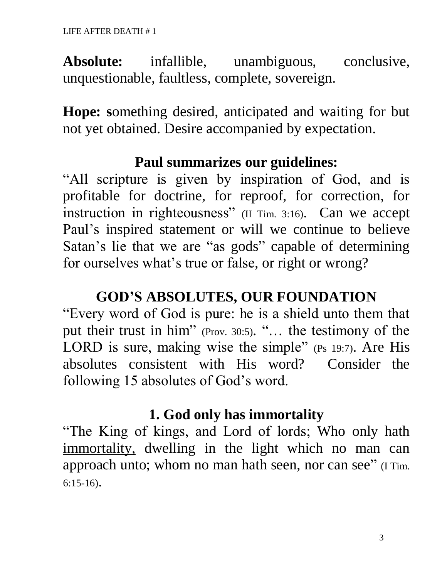**Absolute:** infallible, unambiguous, conclusive, unquestionable, faultless, complete, sovereign.

**Hope: s**omething desired, anticipated and waiting for but not yet obtained. Desire accompanied by expectation.

#### **Paul summarizes our guidelines:**

"All scripture is given by inspiration of God, and is profitable for doctrine, for reproof, for correction, for instruction in righteousness" (II Tim. 3:16). Can we accept Paul's inspired statement or will we continue to believe Satan's lie that we are "as gods" capable of determining for ourselves what's true or false, or right or wrong?

#### **GOD'S ABSOLUTES, OUR FOUNDATION**

"Every word of God is pure: he is a shield unto them that put their trust in him" (Prov. 30:5). "... the testimony of the LORD is sure, making wise the simple" (Ps 19:7). Are His absolutes consistent with His word? Consider the following 15 absolutes of God's word.

#### **1. God only has immortality**

"The King of kings, and Lord of lords; Who only hath immortality, dwelling in the light which no man can approach unto; whom no man hath seen, nor can see" (I Tim. 6:15-16).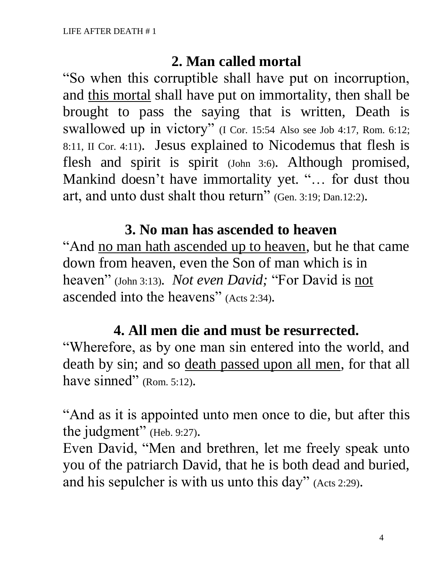#### **2. Man called mortal**

"So when this corruptible shall have put on incorruption, and this mortal shall have put on immortality, then shall be brought to pass the saying that is written, Death is swallowed up in victory" (I Cor. 15:54 Also see Job 4:17, Rom. 6:12; 8:11, II Cor. 4:11). Jesus explained to Nicodemus that flesh is flesh and spirit is spirit (John 3:6). Although promised, Mankind doesn't have immortality yet. "… for dust thou art, and unto dust shalt thou return" (Gen. 3:19; Dan.12:2).

# **3. No man has ascended to heaven**

"And no man hath ascended up to heaven, but he that came down from heaven, even the Son of man which is in heaven" (John 3:13). *Not even David;* "For David is not ascended into the heavens" (Acts 2:34).

# **4. All men die and must be resurrected.**

"Wherefore, as by one man sin entered into the world, and death by sin; and so death passed upon all men, for that all have sinned" (Rom. 5:12).

"And as it is appointed unto men once to die, but after this the judgment" (Heb. 9:27).

Even David, "Men and brethren, let me freely speak unto you of the patriarch David, that he is both dead and buried, and his sepulcher is with us unto this day" (Acts 2:29).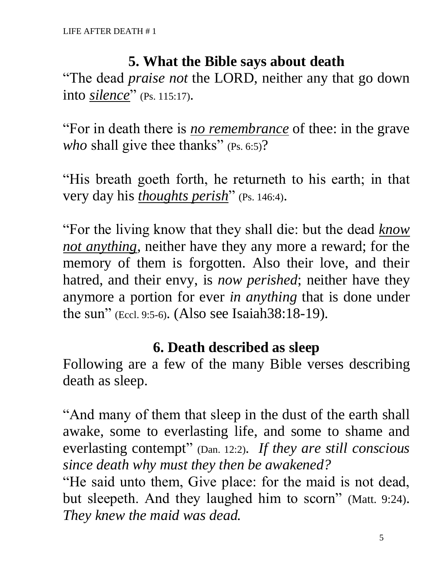#### **5. What the Bible says about death**

"The dead *praise not* the LORD, neither any that go down into *silence*" (Ps. 115:17).

"For in death there is *no remembrance* of thee: in the grave who shall give thee thanks" (Ps. 6:5)?

"His breath goeth forth, he returneth to his earth; in that very day his *thoughts perish*" (Ps. 146:4).

"For the living know that they shall die: but the dead *know not anything*, neither have they any more a reward; for the memory of them is forgotten. Also their love, and their hatred, and their envy, is *now perished*; neither have they anymore a portion for ever *in anything* that is done under the sun" (Eccl. 9:5-6). (Also see Isaiah38:18-19).

#### **6. Death described as sleep**

Following are a few of the many Bible verses describing death as sleep.

"And many of them that sleep in the dust of the earth shall awake, some to everlasting life, and some to shame and everlasting contempt" (Dan. 12:2). *If they are still conscious since death why must they then be awakened?*

"He said unto them, Give place: for the maid is not dead, but sleepeth. And they laughed him to scorn" (Matt. 9:24). *They knew the maid was dead.*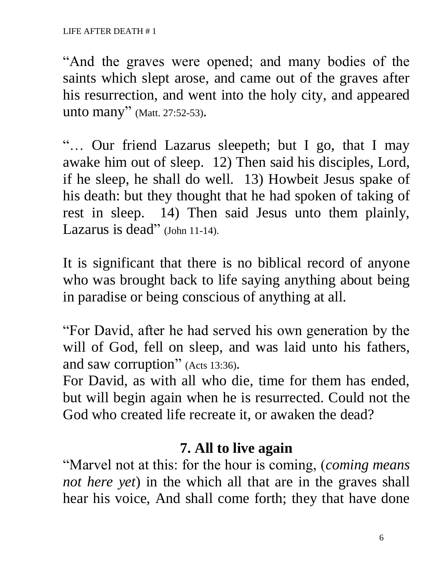"And the graves were opened; and many bodies of the saints which slept arose, and came out of the graves after his resurrection, and went into the holy city, and appeared unto many" (Matt. 27:52-53).

"… Our friend Lazarus sleepeth; but I go, that I may awake him out of sleep. 12) Then said his disciples, Lord, if he sleep, he shall do well. 13) Howbeit Jesus spake of his death: but they thought that he had spoken of taking of rest in sleep. 14) Then said Jesus unto them plainly, Lazarus is dead" (John 11-14).

It is significant that there is no biblical record of anyone who was brought back to life saying anything about being in paradise or being conscious of anything at all.

"For David, after he had served his own generation by the will of God, fell on sleep, and was laid unto his fathers, and saw corruption" (Acts 13:36).

For David, as with all who die, time for them has ended, but will begin again when he is resurrected. Could not the God who created life recreate it, or awaken the dead?

# **7. All to live again**

"Marvel not at this: for the hour is coming, (*coming means not here yet*) in the which all that are in the graves shall hear his voice, And shall come forth; they that have done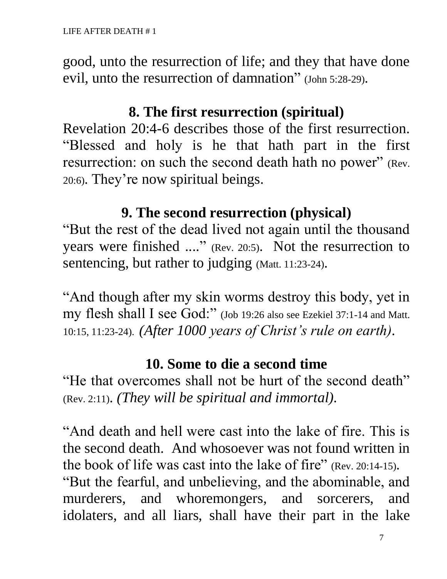good, unto the resurrection of life; and they that have done evil, unto the resurrection of damnation" (John 5:28-29).

#### **8. The first resurrection (spiritual)**

Revelation 20:4-6 describes those of the first resurrection. "Blessed and holy is he that hath part in the first resurrection: on such the second death hath no power" (Rev. 20:6). They're now spiritual beings.

#### **9. The second resurrection (physical)**

"But the rest of the dead lived not again until the thousand years were finished ...." (Rev. 20:5). Not the resurrection to sentencing, but rather to judging (Matt. 11:23-24).

"And though after my skin worms destroy this body, yet in my flesh shall I see God:" (Job 19:26 also see Ezekiel 37:1-14 and Matt. 10:15, 11:23-24). *(After 1000 years of Christ's rule on earth).*

#### **10. Some to die a second time**

"He that overcomes shall not be hurt of the second death" (Rev. 2:11). *(They will be spiritual and immortal).*

"And death and hell were cast into the lake of fire. This is the second death. And whosoever was not found written in the book of life was cast into the lake of fire" (Rev. 20:14-15). "But the fearful, and unbelieving, and the abominable, and murderers, and whoremongers, and sorcerers, and idolaters, and all liars, shall have their part in the lake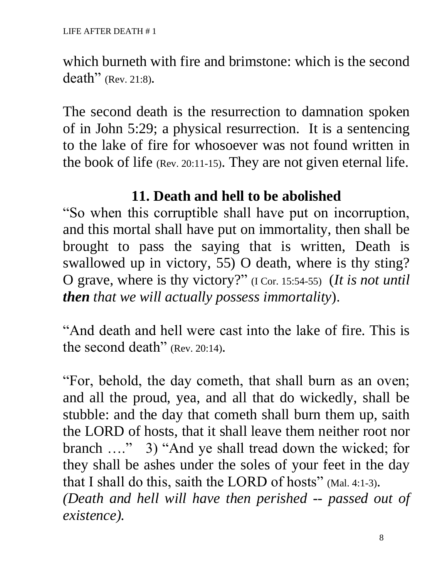which burneth with fire and brimstone: which is the second death" (Rev. 21:8).

The second death is the resurrection to damnation spoken of in John 5:29; a physical resurrection. It is a sentencing to the lake of fire for whosoever was not found written in the book of life (Rev. 20:11-15). They are not given eternal life.

# **11. Death and hell to be abolished**

"So when this corruptible shall have put on incorruption, and this mortal shall have put on immortality, then shall be brought to pass the saying that is written, Death is swallowed up in victory, 55) O death, where is thy sting? O grave, where is thy victory?" (I Cor. 15:54-55) (*It is not until then that we will actually possess immortality*).

"And death and hell were cast into the lake of fire. This is the second death" (Rev. 20:14).

"For, behold, the day cometh, that shall burn as an oven; and all the proud, yea, and all that do wickedly, shall be stubble: and the day that cometh shall burn them up, saith the LORD of hosts, that it shall leave them neither root nor branch …." 3) "And ye shall tread down the wicked; for they shall be ashes under the soles of your feet in the day that I shall do this, saith the LORD of hosts" (Mal. 4:1-3). *(Death and hell will have then perished -- passed out of existence).*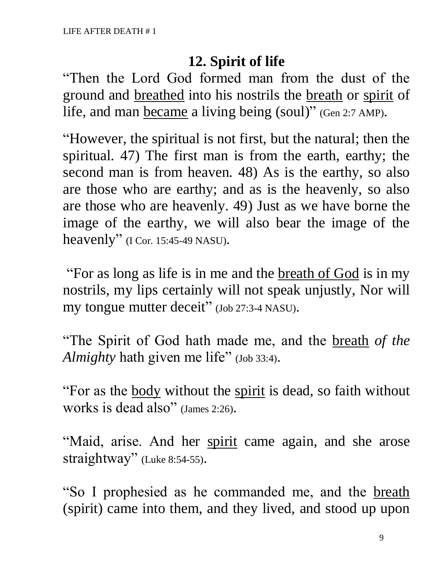#### **12. Spirit of life**

"Then the Lord God formed man from the dust of the ground and breathed into his nostrils the breath or spirit of life, and man became a living being (soul)" (Gen 2:7 AMP).

"However, the spiritual is not first, but the natural; then the spiritual. 47) The first man is from the earth, earthy; the second man is from heaven. 48) As is the earthy, so also are those who are earthy; and as is the heavenly, so also are those who are heavenly. 49) Just as we have borne the image of the earthy, we will also bear the image of the heavenly" (I Cor. 15:45-49 NASU).

"For as long as life is in me and the <u>breath of God</u> is in my nostrils, my lips certainly will not speak unjustly, Nor will my tongue mutter deceit" (Job 27:3-4 NASU).

"The Spirit of God hath made me, and the breath *of the Almighty* hath given me life" (Job 33:4).

"For as the <u>body</u> without the spirit is dead, so faith without works is dead also" (James 2:26).

"Maid, arise. And her spirit came again, and she arose straightway" (Luke 8:54-55).

"So I prophesied as he commanded me, and the breath (spirit) came into them, and they lived, and stood up upon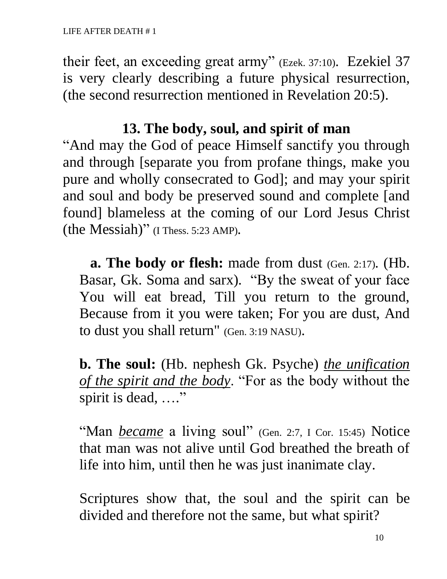their feet, an exceeding great army" (Ezek. 37:10). Ezekiel 37 is very clearly describing a future physical resurrection, (the second resurrection mentioned in Revelation 20:5).

#### **13. The body, soul, and spirit of man**

"And may the God of peace Himself sanctify you through and through [separate you from profane things, make you pure and wholly consecrated to God]; and may your spirit and soul and body be preserved sound and complete [and found] blameless at the coming of our Lord Jesus Christ (the Messiah)" (I Thess. 5:23 AMP).

 **a. The body or flesh:** made from dust (Gen. 2:17). (Hb. Basar, Gk. Soma and sarx). "By the sweat of your face You will eat bread, Till you return to the ground, Because from it you were taken; For you are dust, And to dust you shall return" (Gen. 3:19 NASU).

**b. The soul:** (Hb. nephesh Gk. Psyche) *the unification of the spirit and the body*. "For as the body without the spirit is dead, ...."

"Man *became* a living soul" (Gen. 2:7, I Cor. 15:45) Notice that man was not alive until God breathed the breath of life into him, until then he was just inanimate clay.

Scriptures show that, the soul and the spirit can be divided and therefore not the same, but what spirit?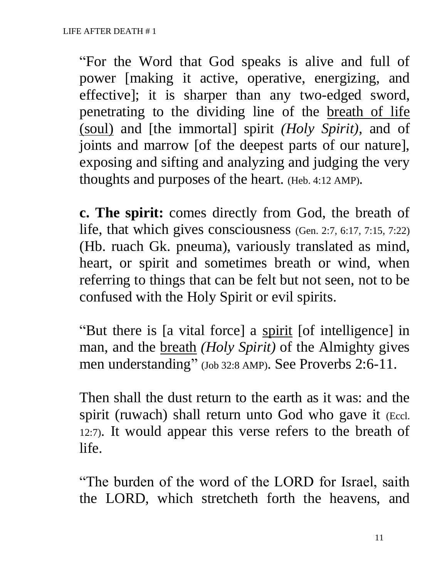"For the Word that God speaks is alive and full of power [making it active, operative, energizing, and effective]; it is sharper than any two-edged sword, penetrating to the dividing line of the breath of life (soul) and [the immortal] spirit *(Holy Spirit)*, and of joints and marrow [of the deepest parts of our nature], exposing and sifting and analyzing and judging the very thoughts and purposes of the heart. (Heb. 4:12 AMP).

**c. The spirit:** comes directly from God, the breath of life, that which gives consciousness (Gen. 2:7, 6:17, 7:15, 7:22) (Hb. ruach Gk. pneuma), variously translated as mind, heart, or spirit and sometimes breath or wind, when referring to things that can be felt but not seen, not to be confused with the Holy Spirit or evil spirits.

"But there is [a vital force] a spirit [of intelligence] in man, and the breath *(Holy Spirit)* of the Almighty gives men understanding" (Job 32:8 AMP). See Proverbs 2:6-11.

Then shall the dust return to the earth as it was: and the spirit (ruwach) shall return unto God who gave it (Eccl. 12:7). It would appear this verse refers to the breath of life.

"The burden of the word of the LORD for Israel, saith the LORD, which stretcheth forth the heavens, and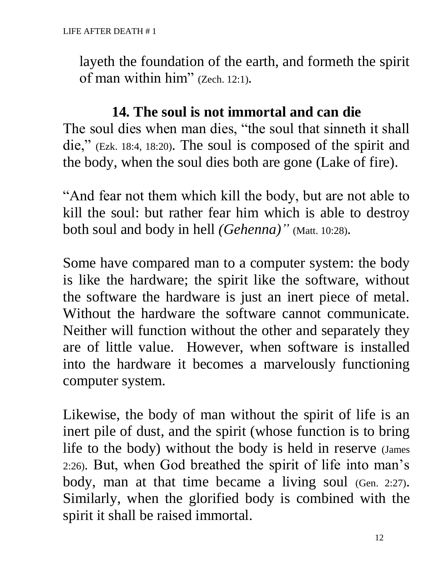layeth the foundation of the earth, and formeth the spirit of man within him" (Zech. 12:1).

#### **14. The soul is not immortal and can die**

The soul dies when man dies, "the soul that sinneth it shall die," (Ezk. 18:4, 18:20). The soul is composed of the spirit and the body, when the soul dies both are gone (Lake of fire).

"And fear not them which kill the body, but are not able to kill the soul: but rather fear him which is able to destroy both soul and body in hell *(Gehenna)*" (Matt. 10:28).

Some have compared man to a computer system: the body is like the hardware; the spirit like the software, without the software the hardware is just an inert piece of metal. Without the hardware the software cannot communicate. Neither will function without the other and separately they are of little value. However, when software is installed into the hardware it becomes a marvelously functioning computer system.

Likewise, the body of man without the spirit of life is an inert pile of dust, and the spirit (whose function is to bring life to the body) without the body is held in reserve (James 2:26). But, when God breathed the spirit of life into man's body, man at that time became a living soul (Gen. 2:27). Similarly, when the glorified body is combined with the spirit it shall be raised immortal.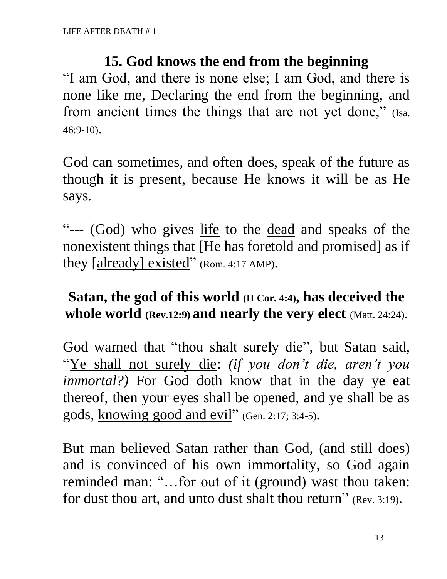#### **15. God knows the end from the beginning**

"I am God, and there is none else; I am God, and there is none like me, Declaring the end from the beginning, and from ancient times the things that are not yet done," (Isa. 46:9-10).

God can sometimes, and often does, speak of the future as though it is present, because He knows it will be as He says.

"--- (God) who gives life to the dead and speaks of the nonexistent things that [He has foretold and promised] as if they [already] existed" (Rom. 4:17 AMP).

### **Satan, the god of this world (II Cor. 4:4), has deceived the whole world (Rev.12:9) and nearly the very elect** (Matt. 24:24).

God warned that "thou shalt surely die", but Satan said, "Ye shall not surely die: *(if you don't die, aren't you immortal?)* For God doth know that in the day ye eat thereof, then your eyes shall be opened, and ye shall be as gods, knowing good and evil" (Gen. 2:17; 3:4-5).

But man believed Satan rather than God, (and still does) and is convinced of his own immortality, so God again reminded man: "…for out of it (ground) wast thou taken: for dust thou art, and unto dust shalt thou return" (Rev. 3:19).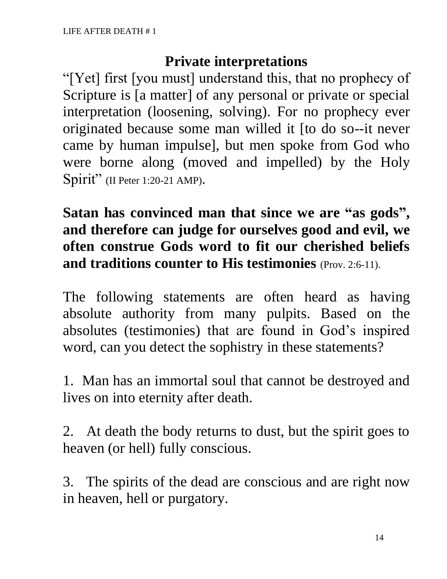#### **Private interpretations**

"[Yet] first [you must] understand this, that no prophecy of Scripture is [a matter] of any personal or private or special interpretation (loosening, solving). For no prophecy ever originated because some man willed it [to do so--it never came by human impulse], but men spoke from God who were borne along (moved and impelled) by the Holy Spirit" (II Peter 1:20-21 AMP).

**Satan has convinced man that since we are "as gods" , and therefore can judge for ourselves good and evil, we often construe Gods word to fit our cherished beliefs and traditions counter to His testimonies** (Prov. 2:6-11).

The following statements are often heard as having absolute authority from many pulpits. Based on the absolutes (testimonies) that are found in God's inspired word, can you detect the sophistry in these statements?

1. Man has an immortal soul that cannot be destroyed and lives on into eternity after death.

2. At death the body returns to dust, but the spirit goes to heaven (or hell) fully conscious.

3. The spirits of the dead are conscious and are right now in heaven, hell or purgatory.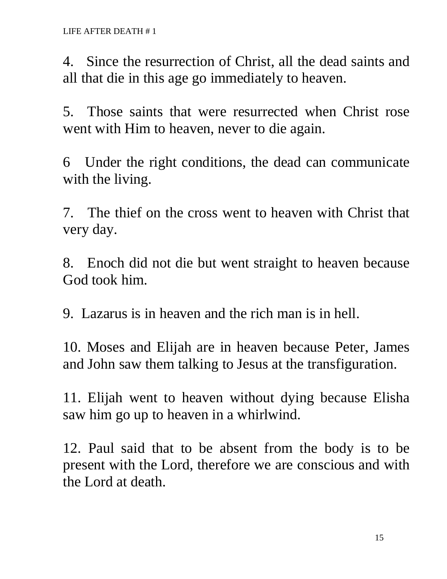4. Since the resurrection of Christ, all the dead saints and all that die in this age go immediately to heaven.

5. Those saints that were resurrected when Christ rose went with Him to heaven, never to die again.

6 Under the right conditions, the dead can communicate with the living.

7. The thief on the cross went to heaven with Christ that very day.

8. Enoch did not die but went straight to heaven because God took him.

9. Lazarus is in heaven and the rich man is in hell.

10. Moses and Elijah are in heaven because Peter, James and John saw them talking to Jesus at the transfiguration.

11. Elijah went to heaven without dying because Elisha saw him go up to heaven in a whirlwind.

12. Paul said that to be absent from the body is to be present with the Lord, therefore we are conscious and with the Lord at death.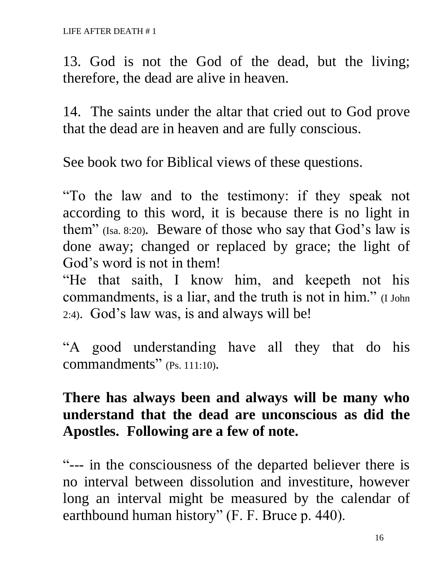13. God is not the God of the dead, but the living; therefore, the dead are alive in heaven.

14. The saints under the altar that cried out to God prove that the dead are in heaven and are fully conscious.

See book two for Biblical views of these questions.

"To the law and to the testimony: if they speak not according to this word, it is because there is no light in them" (Isa. 8:20). Beware of those who say that God's law is done away; changed or replaced by grace; the light of God's word is not in them!

"He that saith, I know him, and keepeth not his commandments, is a liar, and the truth is not in him." (I John 2:4). God's law was, is and always will be!

"A good understanding have all they that do his commandments" (Ps. 111:10).

# **There has always been and always will be many who understand that the dead are unconscious as did the Apostles. Following are a few of note.**

"--- in the consciousness of the departed believer there is no interval between dissolution and investiture, however long an interval might be measured by the calendar of earthbound human history" (F. F. Bruce p. 440).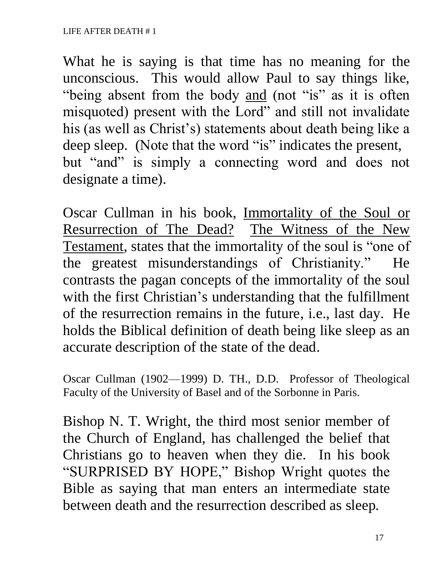What he is saying is that time has no meaning for the unconscious. This would allow Paul to say things like, "being absent from the body and (not "is" as it is often misquoted) present with the Lord" and still not invalidate his (as well as Christ's) statements about death being like a deep sleep. (Note that the word "is" indicates the present, but "and" is simply a connecting word and does not designate a time).

Oscar Cullman in his book, Immortality of the Soul or Resurrection of The Dead? The Witness of the New Testament, states that the immortality of the soul is "one of the greatest misunderstandings of Christianity." He contrasts the pagan concepts of the immortality of the soul with the first Christian's understanding that the fulfillment of the resurrection remains in the future, i.e., last day. He holds the Biblical definition of death being like sleep as an accurate description of the state of the dead.

Oscar Cullman (1902—1999) D. TH., D.D. Professor of Theological Faculty of the University of Basel and of the Sorbonne in Paris.

Bishop N. T. Wright, the third most senior member of the Church of England, has challenged the belief that Christians go to heaven when they die. In his book "SURPRISED BY HOPE," Bishop Wright quotes the Bible as saying that man enters an intermediate state between death and the resurrection described as sleep.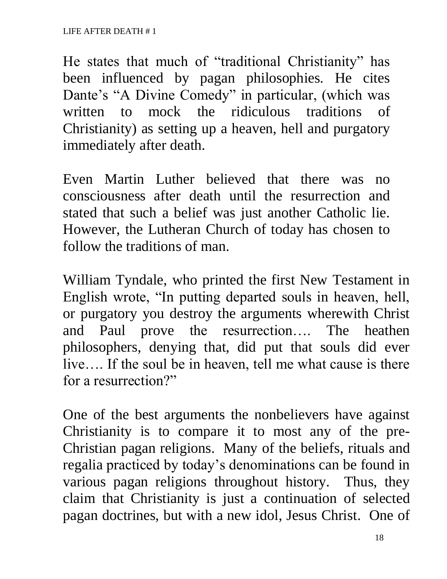He states that much of "traditional Christianity" has been influenced by pagan philosophies. He cites Dante's "A Divine Comedy" in particular, (which was written to mock the ridiculous traditions of Christianity) as setting up a heaven, hell and purgatory immediately after death.

Even Martin Luther believed that there was no consciousness after death until the resurrection and stated that such a belief was just another Catholic lie. However, the Lutheran Church of today has chosen to follow the traditions of man.

William Tyndale, who printed the first New Testament in English wrote, "In putting departed souls in heaven, hell, or purgatory you destroy the arguments wherewith Christ and Paul prove the resurrection…. The heathen philosophers, denying that, did put that souls did ever live…. If the soul be in heaven, tell me what cause is there for a resurrection?"

One of the best arguments the nonbelievers have against Christianity is to compare it to most any of the pre-Christian pagan religions. Many of the beliefs, rituals and regalia practiced by today's denominations can be found in various pagan religions throughout history. Thus, they claim that Christianity is just a continuation of selected pagan doctrines, but with a new idol, Jesus Christ. One of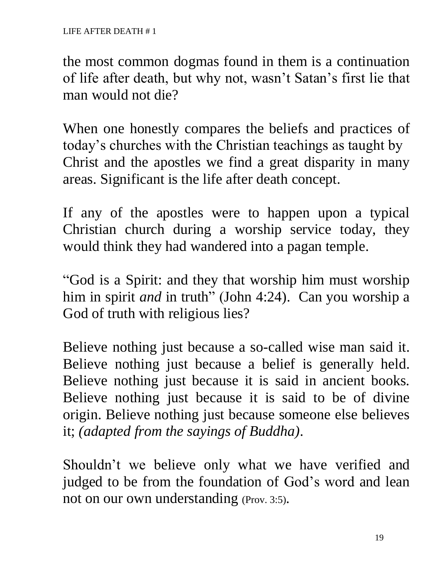the most common dogmas found in them is a continuation of life after death, but why not, wasn't Satan's first lie that man would not die?

When one honestly compares the beliefs and practices of today's churches with the Christian teachings as taught by Christ and the apostles we find a great disparity in many areas. Significant is the life after death concept.

If any of the apostles were to happen upon a typical Christian church during a worship service today, they would think they had wandered into a pagan temple.

"God is a Spirit: and they that worship him must worship him in spirit *and* in truth" (John 4:24). Can you worship a God of truth with religious lies?

Believe nothing just because a so-called wise man said it. Believe nothing just because a belief is generally held. Believe nothing just because it is said in ancient books. Believe nothing just because it is said to be of divine origin. Believe nothing just because someone else believes it; *(adapted from the sayings of Buddha)*.

Shouldn't we believe only what we have verified and judged to be from the foundation of God's word and lean not on our own understanding (Prov. 3:5).